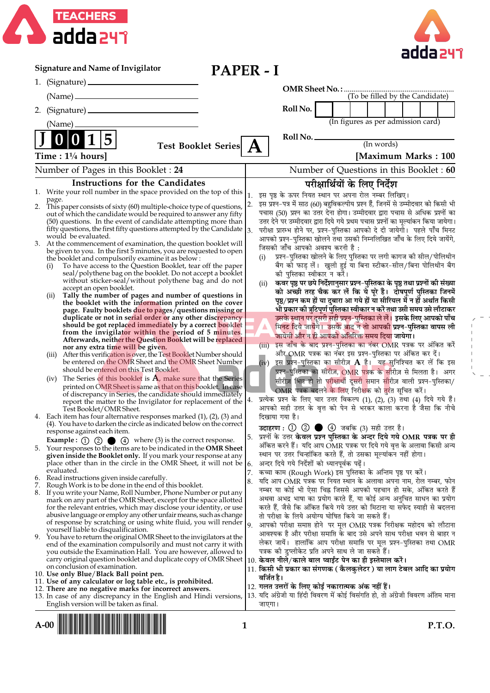



| <b>Signature and Name of Invigilator</b>                                                                                                    | PAPER - I                                                                                                                                     |
|---------------------------------------------------------------------------------------------------------------------------------------------|-----------------------------------------------------------------------------------------------------------------------------------------------|
|                                                                                                                                             |                                                                                                                                               |
|                                                                                                                                             | (To be filled by the Candidate)                                                                                                               |
| (Signature) _________________                                                                                                               | Roll No.                                                                                                                                      |
| (Name).                                                                                                                                     | (In figures as per admission card)                                                                                                            |
|                                                                                                                                             | Roll No.                                                                                                                                      |
| <b>Test Booklet Series</b>                                                                                                                  | $(n$ words)                                                                                                                                   |
| Time: $1\frac{1}{4}$ hours]                                                                                                                 | [Maximum Marks: 100                                                                                                                           |
| Number of Pages in this Booklet: 24                                                                                                         | Number of Questions in this Booklet: 60                                                                                                       |
| <b>Instructions for the Candidates</b><br>1. Write your roll number in the space provided on the top of this                                | परीक्षार्थियों के लिए निर्देश                                                                                                                 |
| page.                                                                                                                                       | इस पृष्ठ के ऊपर नियत स्थान पर अपना रोल नम्बर लिखिए।<br>इस प्रश्न-पत्र में साठ (60) बहुविकल्पीय प्रश्न हैं, जिनमें से उम्मीदवार को किसी भी     |
| 2. This paper consists of sixty (60) multiple-choice type of questions,<br>out of which the candidate would be required to answer any fifty | $\overline{2}$<br>पचास (50) प्रश्न का उत्तर देना होगा। उम्मीदवार द्वारा पचास से अधिक प्रश्नों का                                              |
| (50) questions. In the event of candidate attempting more than                                                                              | उत्तर देने पर उम्मीदवार द्वारा दिये गये प्रथम पचास प्रश्नों का मूल्यांकन किया जायेगा।                                                         |
| fifty questions, the first fifty questions attempted by the Candidate<br>would be evaluated.                                                | परीक्षा प्रारम्भ होने पर, प्रश्न-पुस्तिका आपको दे दी जायेगी। पहले पाँच मिनट<br>$\vert 3.$                                                     |
| 3. At the commencement of examination, the question booklet will                                                                            | आपको प्रश्न-पुस्तिका खोलने तथा उसकी निम्नलिखित जाँच के लिए दिये जायेंगे,<br>जिसकी जाँच आपको अवश्य करनी है:                                    |
| be given to you. In the first 5 minutes, you are requested to open                                                                          | प्रश्न-पुस्तिका खोलने के लिए पुस्तिका पर लगी कागज की सील/पोलिथीन<br>(i)                                                                       |
| the booklet and compulsorily examine it as below :<br>To have access to the Question Booklet, tear off the paper<br>(i)                     | बैग को फाड़ लें। खुली हुई या बिना स्टीकर-सील/बिना पोलिथीन बैग                                                                                 |
| seal/polythene bag on the booklet. Do not accept a booklet                                                                                  | की पुस्तिका स्वीकार न करें।                                                                                                                   |
| without sticker-seal/without polythene bag and do not<br>accept an open booklet.                                                            | कवर पृष्ठ पर छपे निर्देशानुसार प्रश्न-पुस्तिका के पृष्ठ तथा प्रश्नों की संख्या<br>(ii)                                                        |
| Tally the number of pages and number of questions in<br>(ii)                                                                                | को अच्छी तरह चैक कर लें कि ये पूरे हैं। दोषपूर्ण पुस्तिका जिनमें<br>पृष्ठ/प्रश्न कम हों या दुबारा आ गये हों या सीरियल में न हों अर्थात किसी   |
| the booklet with the information printed on the cover<br>page. Faulty booklets due to pages/questions missing or                            | <u>भी प्रकार की त्रुटिपूर्ण पुस्तिका स्वीकार न करें तथा उसी समय उसे लौटाकर</u>                                                                |
| duplicate or not in serial order or any other discrepancy                                                                                   | उसके स्थान पर दूसरी सही प्रश्न-पुस्तिका ले लें। इसके लिए आपको पाँच                                                                            |
| should be got replaced immediately by a correct booklet<br>from the invigilator within the period of 5 minutes.                             | मिनट दिये जायेंगे। उसके बाद न तो आपकी प्रश्न-पुस्तिका वापस ली                                                                                 |
| Afterwards, neither the Question Booklet will be replaced                                                                                   | जायेगी और न ही आपको अतिरिक्त समय दिया जायेगा।<br>इस जाँच के बाद प्रश्न-पुस्तिका का नंबर OMR पत्रक पर अंकित करें<br>(iii)                      |
| nor any extra time will be given.<br>After this verification is over, the Test Booklet Number should<br>(iii)                               | और OMR पत्रक का नंबर इस प्रश्न-पुस्तिका पर अंकित कर दें।                                                                                      |
| be entered on the OMR Sheet and the OMR Sheet Number                                                                                        | (iv) इस प्रश्न-पुस्तिका का सीरीज A है। यह सुनिश्चित कर लें कि इस                                                                              |
| should be entered on this Test Booklet.                                                                                                     | प्रश्न-पुस्तिका को सीरीज़, OMR पत्रक के सीरीज़ से मिलता है। अगर                                                                               |
| The Series of this booklet is $A$ , make sure that the Series<br>(iv)<br>printed on OMR Sheet is same as that on this booklet. In case      | सीरीज भिन्न हो तो परीक्षार्थी दूसरी समान सीरीज़ वाली प्रश्न-पुस्तिका/                                                                         |
| of discrepancy in Series, the candidate should immediately                                                                                  | OMR पत्रक बदलने के लिए निरीक्षक को तुरंत सूचित करें।<br>प्रत्येक प्रश्न के लिए चार उत्तर विकल्प (1), (2), (3) तथा (4) दिये गये हैं।           |
| report the matter to the Invigilator for replacement of the $ 4$ .<br>Test Booklet/OMR Sheet.                                               | आपको सही उत्तर के वृत्त को पेन से भरकर काला करना है जैसा कि नीचे                                                                              |
| 4. Each item has four alternative responses marked $(1)$ , $(2)$ , $(3)$ and                                                                | दिखाया गया है।                                                                                                                                |
| (4). You have to darken the circle as indicated below on the correct<br>response against each item.                                         | उदाहरण : $\mathbb O$ 2 $\bullet$ $\mathbb O$ जबकि (3) सही उत्तर है।                                                                           |
| <b>Example :</b> (1) $(2)$ $(3)$ where (3) is the correct response.                                                                         | 5. प्रश्नों के उत्तर <b>केवल प्रश्न पुस्तिका के अन्दर दिये गये OMR पत्रक पर ही</b>                                                            |
| 5. Your responses to the items are to be indicated in the <b>OMR</b> Sheet                                                                  | अंकित करने हैं।  यदि आप OMR पत्रक पर दिये गये वृत्त के अलावा किसी अन्य<br>स्थान पर उत्तर चिन्हांकित करते हैं, तो उसका मूल्यांकन नहीं होगा।    |
| given inside the Booklet only. If you mark your response at any<br>place other than in the circle in the OMR Sheet, it will not be          | अन्दर दिये गये निर्देशों को ध्यानपूर्वक पढ़ें।<br>6.                                                                                          |
| evaluated.                                                                                                                                  | कच्चा काम (Rough Work) इस पुस्तिका के अन्तिम पृष्ठ पर करें।<br>7.                                                                             |
| 6. Read instructions given inside carefully.<br>7. Rough Work is to be done in the end of this booklet.                                     | यदि आप OMR पत्रक पर नियत स्थान के अलावा अपना नाम, रोल नम्बर, फोन<br>8.<br>नम्बर या कोई भी ऐसा चिह्न जिससे आपकी पहचान हो सके, अंकित करते हैं   |
| 8. If you write your Name, Roll Number, Phone Number or put any                                                                             | अथवा अभद्र भाषा का प्रयोग करते हैं, या कोई अन्य अनुचित साधन का प्रयोग                                                                         |
| mark on any part of the OMR Sheet, except for the space allotted<br>for the relevant entries, which may disclose your identity, or use      | करते हैं, जैसे कि अंकित किये गये उत्तर को मिटाना या सफेद स्याही से बदलना                                                                      |
| abusive language or employ any other unfair means, such as change                                                                           | तो परीक्षा के लिये अयोग्य घोषित किये जा सकते हैं।                                                                                             |
| of response by scratching or using white fluid, you will render $ 9\rangle$<br>yourself liable to disqualification.                         | आपको परीक्षा समाप्त होने  पर मूल OMR पत्रक निरीक्षक महोदय को लौटाना<br>आवश्यक है और परीक्षा समाप्ति के बाद उसे अपने साथ परीक्षा भवन से बाहर न |
| 9. You have to return the original OMR Sheet to the invigilators at the                                                                     | लेकर जायें।  हालांकि आप परीक्षा समाप्ति पर मूल प्रश्न-पुस्तिका तथा OMR                                                                        |
| end of the examination compulsorily and must not carry it with<br>you outside the Examination Hall. You are however, allowed to             | पत्रक की डुप्लीकेट प्रति अपने साथ ले जा सकते हैं।                                                                                             |
| $\alpha$ carry original question booklet and duplicate copy of OMR Sheet $ 10\rangle$ केवल नीले/काले बाल प्वाईंट पेन का ही इस्तेमाल करें।   |                                                                                                                                               |
| on conclusion of examination.<br>10. Use only Blue/Black Ball point pen.                                                                    | 11. किसी भी प्रकार का संगणक ( कैलकुलेटर ) या लाग टेबल आदि का प्रयोग<br>वर्जित है।                                                             |
| 11. Use of any calculator or log table etc., is prohibited.                                                                                 | 12. गलत उत्तरों के लिए कोई नकारात्मक अंक नहीं हैं।                                                                                            |
| 12. There are no negative marks for incorrect answers.<br>13. In case of any discrepancy in the English and Hindi versions,                 | 13. यदि अंग्रेजी या हिंदी विवरण में कोई विसंगति हो, तो अंग्रेजी विवरण अंतिम माना                                                              |
| English version will be taken as final.                                                                                                     | जाएगा ।                                                                                                                                       |
|                                                                                                                                             |                                                                                                                                               |
| $A-00$                                                                                                                                      | P.T.O.<br>1                                                                                                                                   |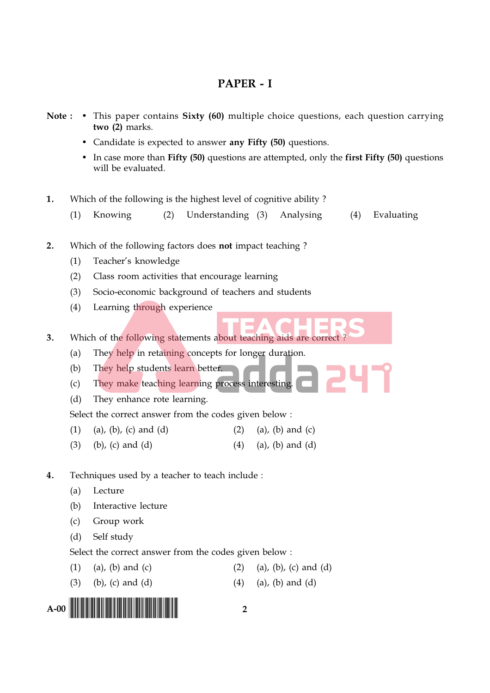# PAPER - I

- Note: This paper contains Sixty (60) multiple choice questions, each question carrying two (2) marks.
	- Candidate is expected to answer any Fifty (50) questions.
	- In case more than Fifty (50) questions are attempted, only the first Fifty (50) questions will be evaluated.
- Which of the following is the highest level of cognitive ability?  $1.$ 
	- Understanding (3)  $(1)$ Knowing  $(2)$ Analysing  $(4)$ Evaluating
- $2.$ Which of the following factors does not impact teaching?
	- Teacher's knowledge  $(1)$
	- $(2)$ Class room activities that encourage learning
	- $(3)$ Socio-economic background of teachers and students
	- Learning through experience  $(4)$
- Which of the following statements about teaching aids are correct?  $3.$ 
	- They help in retaining concepts for longer duration.  $(a)$
	- $(b)$ They help students learn better.
	- $(c)$ They make teaching learning process interesting.
	- They enhance rote learning.  $(d)$

Select the correct answer from the codes given below :

- (a), (b), (c) and (d)  $(1)$  $(2)$  $(a)$ ,  $(b)$  and  $(c)$
- $(3)$  $(b)$ ,  $(c)$  and  $(d)$  $(4)$  $(a)$ ,  $(b)$  and  $(d)$
- $\overline{4}$ . Techniques used by a teacher to teach include :
	- $(a)$ Lecture
	- Interactive lecture  $(b)$
	- (c) Group work
	- (d) Self study

Select the correct answer from the codes given below :

- $(1)$  $(a)$ ,  $(b)$  and  $(c)$  $(2)$ (a), (b), (c) and (d)
- $(b)$ ,  $(c)$  and  $(d)$  $(4)$  (a), (b) and (d)  $(3)$



 $\overline{2}$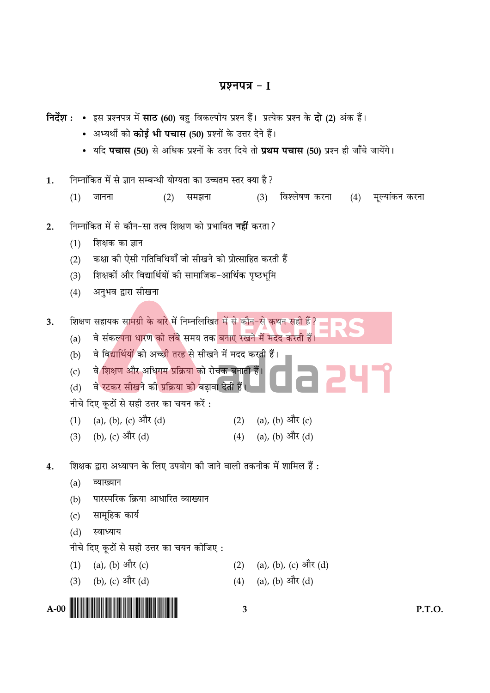# प्रश्नपत्र $-1$

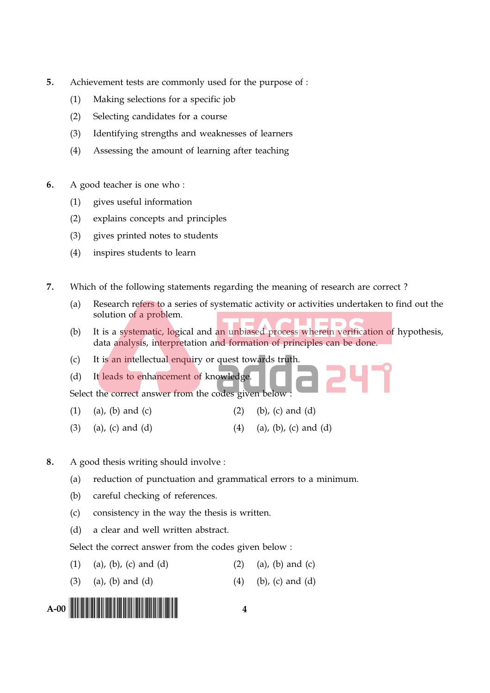- $5<sub>1</sub>$ Achievement tests are commonly used for the purpose of :
	- $(1)$ Making selections for a specific job
	- $(2)$ Selecting candidates for a course
	- Identifying strengths and weaknesses of learners  $(3)$
	- $(4)$ Assessing the amount of learning after teaching
- 6. A good teacher is one who:
	- $(1)$ gives useful information
	- $(2)$ explains concepts and principles
	- $(3)$ gives printed notes to students
	- inspires students to learn  $(4)$
- 7. Which of the following statements regarding the meaning of research are correct?
	- Research refers to a series of systematic activity or activities undertaken to find out the  $(a)$ solution of a problem.
	- It is a systematic, logical and an unbiased process wherein verification of hypothesis, (b) data analysis, interpretation and formation of principles can be done.
	- It is an intellectual enquiry or quest towards truth.  $(c)$
	- $(d)$ It leads to enhancement of knowledge.

Select the correct answer from the codes given below

- $(1)$  $(a)$ ,  $(b)$  and  $(c)$  $(2)$  $(b)$ ,  $(c)$  and  $(d)$
- $(a)$ ,  $(c)$  and  $(d)$  $(4)$  (a), (b), (c) and (d)  $(3)$
- 8. A good thesis writing should involve :
	- reduction of punctuation and grammatical errors to a minimum.  $(a)$
	- careful checking of references.  $(b)$
	- consistency in the way the thesis is written.  $(c)$
	- a clear and well written abstract.  $(d)$

Select the correct answer from the codes given below:

- $(1)$ (a), (b), (c) and (d)  $(2)$  (a), (b) and (c)
- $(4)$  (b), (c) and (d)  $(3)$  $(a)$ ,  $(b)$  and  $(d)$



 $\overline{\mathbf{4}}$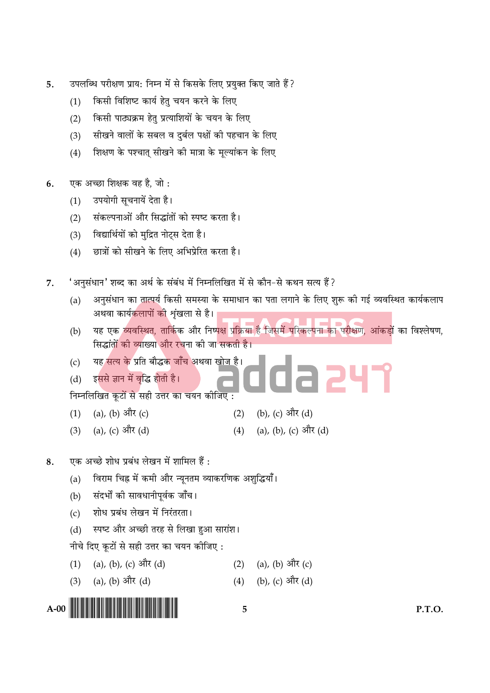- उपलब्धि परीक्षण प्राय: निम्न में से किसके लिए प्रयुक्त किए जाते हैं? 5.
	- किसी विशिष्ट कार्य हेतु चयन करने के लिए  $(1)$
	- किसी पाठ्यक्रम हेतु प्रत्याशियों के चयन के लिए  $(2)$
	- सीखने वालों के सबल व दुर्बल पक्षों की पहचान के लिए  $(3)$
	- शिक्षण के पश्चात् सीखने की मात्रा के मूल्यांकन के लिए  $(4)$
- एक अच्छा शिक्षक वह है, जो : 6.
	- उपयोगी सूचनायें देता है।  $(1)$
	- संकल्पनाओं और सिद्धांतों को स्पष्ट करता है।  $(2)$
	- विद्यार्थियों को मुद्रित नोट्स देता है।  $(3)$
	- छात्रों को सीखने के लिए अभिप्रेरित करता है।  $(4)$
- 'अनुसंधान' शब्द का अर्थ के संबंध में निम्नलिखित में से कौन-से कथन सत्य हैं ? 7.
	- अनुसंधान का तात्पर्य किसी समस्या के समाधान का पता लगाने के लिए शुरू की गई व्यवस्थित कार्यकलाप  $(a)$ अथवा कार्यकलापों की शृंखला से है।
	- यह एक व्यवस्थित, तार्किक और निष्पक्ष प्रक्रिया है जिसमें परिकल्पना का परीक्षण, आंकड़ों का विश्लेषण,  $(b)$ सिद्धांतों की व्याख्या और रचना की जा सकती है।

2247

- यह सत्य के प्रति बौद्धक जाँच अथवा खोज है।  $(c)$
- इससे ज्ञान में वृद्धि होती है।  $(d)$

निम्नलिखित कूटों से सही उत्तर का चयन कीजिए:

- (a), (b) और (c) (2) (b), (c) और (d)  $(1)$
- (a), (c) और (d) (4) (a), (b), (c) और (d)  $(3)$
- एक अच्छे शोध प्रबंध लेखन में शामिल हैं : 8.
	- विराम चिह्न में कमी और न्यूनतम व्याकरणिक अशुद्धियाँ।  $(a)$
	- संदर्भों की सावधानीपूर्वक जाँच।  $(b)$
	- शोध प्रबंध लेखन में निरंतरता।  $(c)$
	- स्पष्ट और अच्छी तरह से लिखा हुआ सारांश।  $(d)$

नीचे दिए कूटों से सही उत्तर का चयन कीजिए:

- (a), (b), (c) और (d) (2) (a), (b) और (c)  $(1)$
- (a), (b) और (d)  $(4)$  (b), (c) और (d)  $(3)$

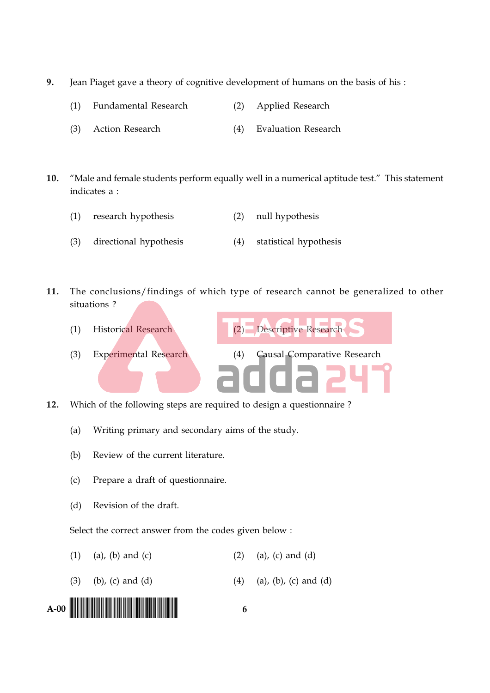- 9. Jean Piaget gave a theory of cognitive development of humans on the basis of his:
	- $(1)$ Fundamental Research Applied Research  $(2)$
	- (4) Evaluation Research  $(3)$ **Action Research**
- "Male and female students perform equally well in a numerical aptitude test." This statement  $10.$ indicates a :
	- $(1)$ research hypothesis  $(2)$ null hypothesis
	- $(3)$ directional hypothesis (4) statistical hypothesis
- The conclusions/findings of which type of research cannot be generalized to other  $11.$ situations?
	- (2) Descriptive Research Historical Research  $(1)$ **Experimental Research**  $(3)$  $(4)$ Causal Comparative Research
- $12.$ Which of the following steps are required to design a questionnaire?
	- Writing primary and secondary aims of the study.  $(a)$
	- Review of the current literature.  $(b)$
	- Prepare a draft of questionnaire.  $(c)$
	- Revision of the draft.  $(d)$

Select the correct answer from the codes given below :

- $(1)$  $(a)$ ,  $(b)$  and  $(c)$  $(2)$  (a), (c) and (d)
- $(b)$ ,  $(c)$  and  $(d)$  $(4)$  (a), (b), (c) and (d)  $(3)$



 $6\phantom{1}$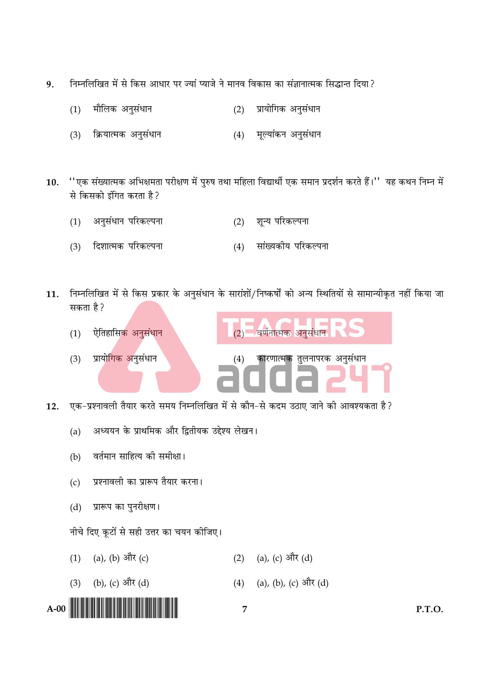- निम्नलिखित में से किस आधार पर ज्यां प्याजे ने मानव विकास का संज्ञानात्मक सिद्धान्त दिया? 9.
	- मौलिक अनुसंधान (2) प्रायोगिक अनुसंधान  $(1)$
	- क्रियात्मक अनुसंधान (4) मूल्यांकन अनुसंधान  $(3)$
- ''एक संख्यात्मक अभिक्षमता परीक्षण में पुरुष तथा महिला विद्यार्थी एक समान प्रदर्शन करते हैं।'' यह कथन निम्न में 10. से किसको इंगित करता है?
	- (1) अनुसंधान परिकल्पना (2) शून्य परिकल्पना
	- (4) सांख्यकीय परिकल्पना दिशात्मक परिकल्पना  $(3)$
- निम्नलिखित में से किस प्रकार के अनुसंधान के सारांशों/निष्कर्षों को अन्य स्थितियों से सामान्यीकृत नहीं किया जा  $11.$ सकता है?



- 12. एक-प्रश्नावली तैयार करते समय निम्नलिखित में से कौन-से कदम उठाए जाने की आवश्यकता है?
	- अध्ययन के प्राथमिक और द्वितीयक उद्देश्य लेखन।  $(a)$
	- वर्तमान साहित्य की समीक्षा।  $(b)$
	- प्रश्नावली का प्रारूप तैयार करना।  $(c)$
	- (d) प्रारूप का पुनरीक्षण।

नीचे दिए कूटों से सही उत्तर का चयन कीजिए।

- (1) (a), (b) और (c) (2) (a), (c) और (d)
- $(3)$  (b), (c) और (d) (4) (a), (b), (c) और (d)

 $\overline{7}$ 

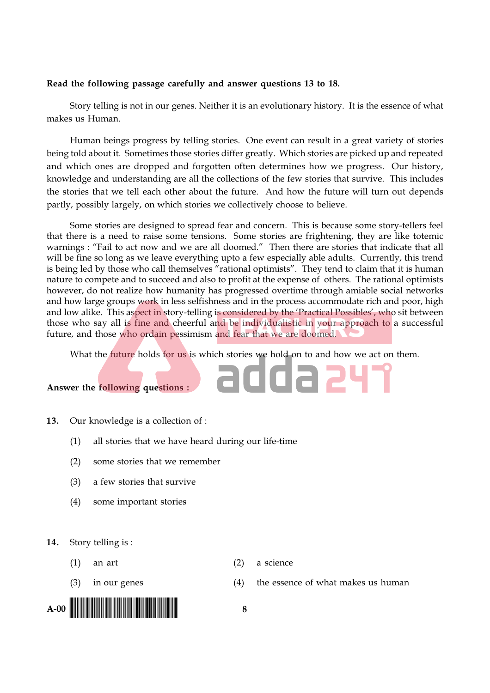### Read the following passage carefully and answer questions 13 to 18.

Story telling is not in our genes. Neither it is an evolutionary history. It is the essence of what makes us Human.

Human beings progress by telling stories. One event can result in a great variety of stories being told about it. Sometimes those stories differ greatly. Which stories are picked up and repeated and which ones are dropped and forgotten often determines how we progress. Our history, knowledge and understanding are all the collections of the few stories that survive. This includes the stories that we tell each other about the future. And how the future will turn out depends partly, possibly largely, on which stories we collectively choose to believe.

Some stories are designed to spread fear and concern. This is because some story-tellers feel that there is a need to raise some tensions. Some stories are frightening, they are like totemic warnings : "Fail to act now and we are all doomed." Then there are stories that indicate that all will be fine so long as we leave everything upto a few especially able adults. Currently, this trend is being led by those who call themselves "rational optimists". They tend to claim that it is human nature to compete and to succeed and also to profit at the expense of others. The rational optimists however, do not realize how humanity has progressed overtime through amiable social networks and how large groups work in less selfishness and in the process accommodate rich and poor, high and low alike. This aspect in story-telling is considered by the 'Practical Possibles', who sit between those who say all is fine and cheerful and be individualistic in your approach to a successful future, and those who ordain pessimism and fear that we are doomed.

What the future holds for us is which stories we hold on to and how we act on them.

200224

## Answer the following questions :

- Our knowledge is a collection of :  $13<sup>7</sup>$ 
	- all stories that we have heard during our life-time  $(1)$
	- $(2)$ some stories that we remember
	- $(3)$ a few stories that survive
	- $(4)$ some important stories

#### 14. Story telling is :

- $(1)$ an art
- $(3)$ in our genes

 $(2)$  a science

8

(4) the essence of what makes us human

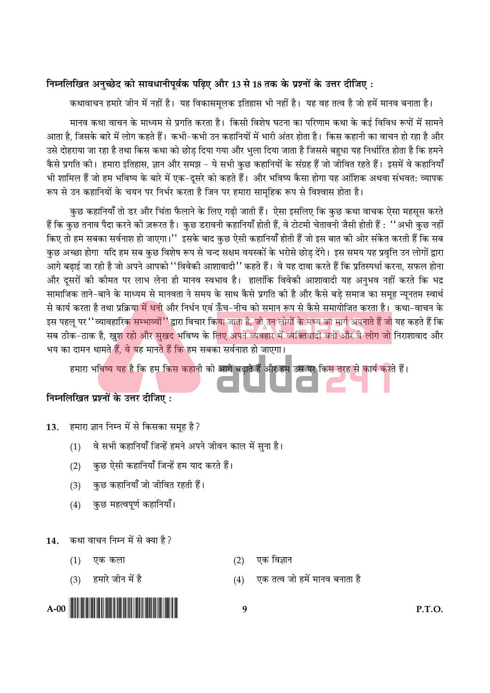# निम्नलिखित अनुच्छेद को सावधानीपूर्वक पढ़िए और 13 से 18 तक के प्रश्नों के उत्तर दीजिए:

कथावाचन हमारे जीन में नहीं है। यह विकासमूलक इतिहास भी नहीं है। यह वह तत्व है जो हमें मानव बनाता है।

मानव कथा वाचन के माध्यम से प्रगति करता है। किसी विशेष घटना का परिणाम कथा के कई विविध रूपों में सामने आता है. जिसके बारे में लोग कहते हैं। कभी-कभी उन कहानियों में भारी अंतर होता है। किस कहानी का वाचन हो रहा है और उसे दोहराया जा रहा है तथा किस कथा को छोड दिया गया और भला दिया जाता है जिससे बहुधा यह निर्धारित होता है कि हमने कैसे प्रगति की। हमारा इतिहास, ज्ञान और समझ – ये सभी कुछ कहानियों के संग्रह हैं जो जीवित रहते हैं। इसमें वे कहानियाँ भी शामिल हैं जो हम भविष्य के बारे में एक-दुसरे को कहते हैं। और भविष्य कैसा होगा यह आंशिक अथवा संभवत: व्यापक रूप से उन कहानियों के चयन पर निर्भर करता है जिन पर हमारा सामूहिक रूप से विश्वास होता है।

कुछ कहानियाँ तो डर और चिंता फैलाने के लिए गढ़ी जाती हैं। ऐसा इसलिए कि कुछ कथा वाचक ऐसा महसूस करते हैं कि कुछ तनाव पैदा करने की ज़रूरत है। कुछ डरावनी कहानियाँ होती हैं, वे टोटमी चेतावनी जैसी होती हैं : ''अभी कुछ नहीं किए तो हम सबका सर्वनाश हो जाएगा।'' इसके बाद कुछ ऐसी कहानियाँ होती हैं जो इस बात की ओर संकेत करती हैं कि सब कुछ अच्छा होगा यदि हम सब कुछ विशेष रूप से चन्द सक्षम वयस्कों के भरोसे छोड़ देंगे। इस समय यह प्रवृत्ति उन लोगों द्वारा आगे बढाई जा रही है जो अपने आपको '' विवेकी आशावादी'' कहते हैं। वे यह दावा करते हैं कि प्रतिस्पर्धा करना, सफल होना और दूसरों की कीमत पर लाभ लेना ही मानव स्वभाव है। हालांकि विवेकी आशावादी यह अनुभव नहीं करते कि भद्र सामाजिक ताने-बाने के माध्यम से मानवता ने समय के साथ कैसे प्रगति की है और कैसे बडे समाज का समूह न्यूनतम स्वार्थ से कार्य करता है तथा प्रक्रिय<mark>ा में धनी</mark> और निर्धन एवं ऊँँच–नीच को समान रूप से कैसे समायोजित करता है। कथा–वाचन के इस पहलू पर ''व्यावहारिक सम्भाव्यों'' द्वारा विचार किया जाता है, जो उन लोगों के मध्य का मार्ग अपनाते हैं जो यह कहते हैं कि सब ठीक-ठाक है, खुश रहो और सुखद भविष्य के लिए अपने व्यवहार में व्यक्तिवादी बनो और वे लोग ज<mark>ो</mark> निराशावाद और भय का दामन थामते हैं, वे यह मानते हैं कि हम सबका सर्वनाश हो जाएगा।

हमारा भविष्य यह है कि हम किस कहानी को आगे बढ़ाते हैं और हम उस पर किस तरह से कार्य करते हैं।

# निम्नलिखित प्रश्नों के उत्तर दीजिए:

हमारा ज्ञान निम्न में से किसका समूह है ? 13.

- वे सभी कहानियाँ जिन्हें हमने अपने जीवन काल में सुना है।  $(1)$
- कुछ ऐसी कहानियाँ जिन्हें हम याद करते हैं।  $(2)$
- कुछ कहानियाँ जो जीवित रहती हैं।  $(3)$
- कुछ महत्वपूर्ण कहानियाँ।  $(4)$

कथा वाचन निम्न में से क्या है? 14.

- $(1)$ एक कला
- हमारे जीन में है  $(3)$
- एक विज्ञान  $(2)$

 $\boldsymbol{q}$ 

एक तत्व जो हमें मानव बनाता है  $(4)$ 

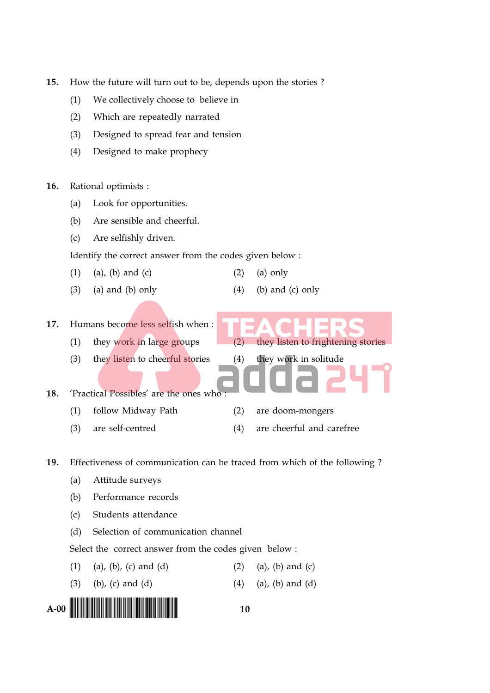How the future will turn out to be, depends upon the stories? 15.

- We collectively choose to believe in  $(1)$
- $(2)$ Which are repeatedly narrated
- Designed to spread fear and tension  $(3)$
- $(4)$ Designed to make prophecy

#### 16. Rational optimists :

- $(a)$ Look for opportunities.
- $(b)$ Are sensible and cheerful.
- $(c)$ Are selfishly driven.

Identify the correct answer from the codes given below :

- $(a)$ ,  $(b)$  and  $(c)$  $(2)$  $(a)$  only  $(1)$
- $(3)$  $(a)$  and  $(b)$  only  $(4)$ (b) and (c) only

17. Humans become less selfish when:

- they work in large groups  $(1)$
- $(3)$ they listen to cheerful stories
- 'Practical Possibles' are the ones who 18.
	- follow Midway Path are doom-mongers  $(1)$  $(2)$ 
		- are cheerful and carefree  $(4)$

they listen to frightening stories

they work in solitude

19. Effectiveness of communication can be traced from which of the following?

 $(2)$ 

 $(4)$ 

- $(a)$ Attitude surveys
- $(b)$ Performance records

are self-centred

 $(3)$ 

- Students attendance  $(c)$
- Selection of communication channel  $(d)$

Select the correct answer from the codes given below :

- $(a)$ ,  $(b)$  and  $(c)$  $(1)$ (a), (b), (c) and (d)  $(2)$
- $(a)$ ,  $(b)$  and  $(d)$  $(b)$ ,  $(c)$  and  $(d)$  $(4)$  $(3)$

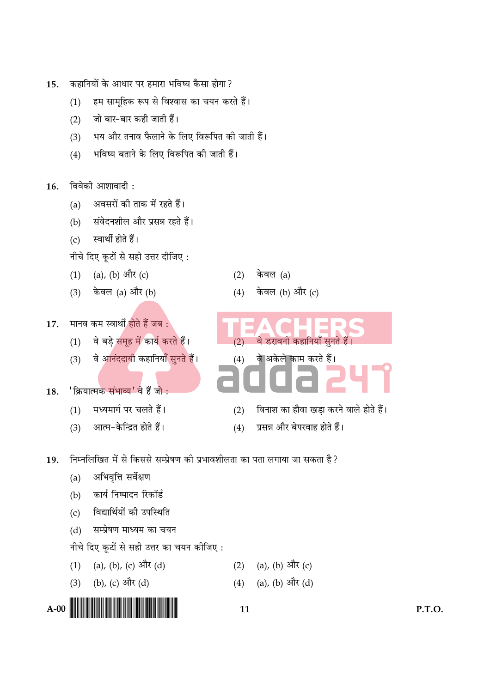- कहानियों के आधार पर हमारा भविष्य कैसा होगा ? 15.
	- हम सामूहिक रूप से विश्वास का चयन करते हैं।  $(1)$
	- जो बार-बार कही जाती हैं।  $(2)$
	- भय और तनाव फैलाने के लिए विरूपित की जाती हैं।  $(3)$
	- भविष्य बताने के लिए विरूपित की जाती हैं।  $(4)$

#### विवेकी आशावादी : 16.

- अवसरों की ताक में रहते हैं।  $(a)$
- संवेदनशील और प्रसन्न रहते हैं।  $(b)$
- $(c)$ स्वार्थी होते हैं।

नीचे दिए कूटों से सही उत्तर दीजिए:

- (a), (b) और (c)  $(1)$
- केवल (a) और (b)  $(3)$
- मानव कम स्वार्थी होते हैं जब : 17.
	- वे बड़े समूह में कार्य करते हैं।  $(1)$
	- े वे आनंददायी कहानियाँ सुनते हैं।  $(3)$
- 'क्रियात्मक संभाव्य' वे हैं जो : 18.
	- मध्यमार्ग पर चलते हैं।  $(1)$
	- आत्म-केन्द्रित होते हैं।  $(3)$
- वे डरावनी कहानियाँ सुनते हैं।  $(2)$ वे अकेले काम करते हैं।  $(4)$  $(2)$ विनाश का हौवा खडा करने वाले होते हैं। प्रसन्न और बेपरवाह होते हैं।  $(4)$

केवल (a)

केवल (b) और (c)

 $(2)$ 

 $(4)$ 

- निम्नलिखित में से किससे सम्प्रेषण की प्रभावशीलता का पता लगाया जा सकता है? 19.
	- अभिवृत्ति सर्वेक्षण  $(a)$
	- कार्य निष्पादन रिकॉर्ड  $(b)$
	- विद्यार्थियों की उपस्थिति  $(c)$
	- सम्प्रेषण माध्यम का चयन  $(d)$
	- नीचे दिए कूटों से सही उत्तर का चयन कीजिए:
	- (a), (b), (c) और (d) (2) (a), (b) और (c)  $(1)$ (b), (c) और (d)  $(4)$  (a), (b) और (d)  $(3)$

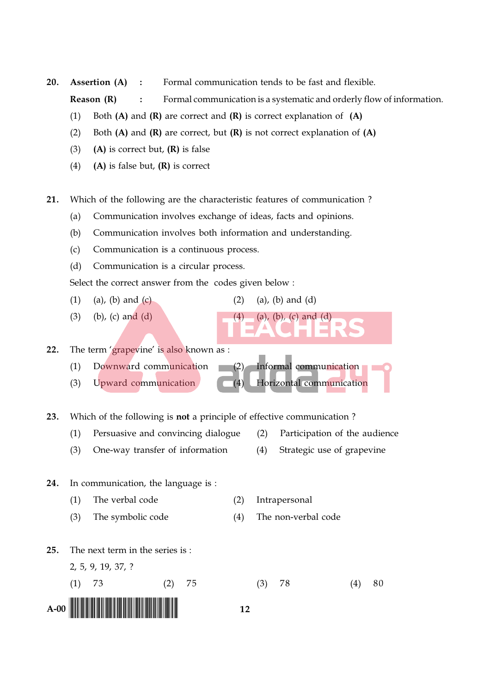$20.$ Formal communication tends to be fast and flexible. Assertion (A)  $\mathbf{r}$ 

Reason (R)  $\mathbf{r}$ Formal communication is a systematic and orderly flow of information.

- Both  $(A)$  and  $(R)$  are correct and  $(R)$  is correct explanation of  $(A)$  $(1)$
- $(2)$ Both  $(A)$  and  $(R)$  are correct, but  $(R)$  is not correct explanation of  $(A)$
- $(3)$ (A) is correct but,  $(R)$  is false
- $(4)$  $(A)$  is false but,  $(R)$  is correct
- Which of the following are the characteristic features of communication? 21.
	- Communication involves exchange of ideas, facts and opinions.  $(a)$
	- $(b)$ Communication involves both information and understanding.
	- Communication is a continuous process.  $(c)$
	- $(d)$ Communication is a circular process.

Select the correct answer from the codes given below :

- $(a)$ ,  $(b)$  and  $(c)$  $(2)$  $(a)$ ,  $(b)$  and  $(d)$  $(1)$
- $(3)$  $(b)$ ,  $(c)$  and  $(d)$

22. The term 'grapevine' is also known as :

> Informal communication Downward communication  $(1)$  $(2)$  $(3)$ Upward communication Horizontal communication  $(4)$

 $(4)$ 

Which of the following is not a principle of effective communication? 23.

- $(1)$ Persuasive and convincing dialogue
- $(3)$ One-way transfer of information
- In communication, the language is : 24.
	- $(1)$ The verbal code  $(2)$ Intrapersonal
	- The non-verbal code  $(3)$ The symbolic code  $(4)$
- 25 The next term in the series is: 2, 5, 9, 19, 37, ?



Participation of the audience  $(2)$ 

(a), (b), (c) and (d)

 $(4)$ Strategic use of grapevine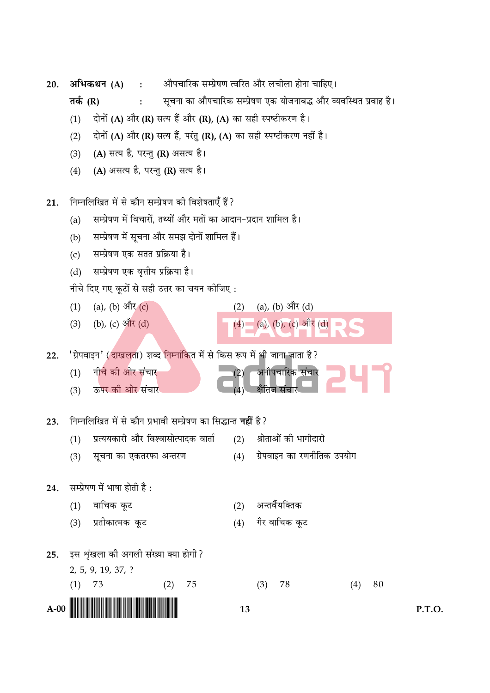अभिकथन (A) औपचारिक सम्प्रेषण त्वरित और लचीला होना चाहिए। 20.  $\cdot$ :

सूचना का औपचारिक सम्प्रेषण एक योजनाबद्ध और व्यवस्थित प्रवाह है। तर्क (R)  $\ddot{\cdot}$ 

- दोनों (A) और (R) सत्य हैं और (R), (A) का सही स्पष्टीकरण है।  $(1)$
- दोनों (A) और (R) सत्य हैं, परंतु (R), (A) का सही स्पष्टीकरण नहीं है।  $(2)$
- (A) सत्य है, परन्तु (R) असत्य है।  $(3)$
- (A) असत्य है, परन्तु (R) सत्य है।  $(4)$

निम्नलिखित में से कौन सम्प्रेषण की विशेषताएँ हैं?  $21.$ 

- सम्प्रेषण में विचारों. तथ्यों और मतों का आदान-प्रदान शामिल है।  $(a)$
- सम्प्रेषण में सूचना और समझ दोनों शामिल हैं।  $(b)$
- सम्प्रेषण एक सतत प्रक्रिया है।  $(c)$
- सम्प्रेषण एक वृत्तीय प्रक्रिया है।  $(d)$

नीचे दिए गए कूटों से सही उत्तर का चयन कीजिए:

- (a), (b) और (c)  $(1)$
- (b), (c) और (d)  $(3)$

'ग्रेपवाइन' (दाखलता) शब्द निम्नांकित में से किस रूप में भी जाना जाता है?  $22.$ 

नीचे की ओर संचार  $(1)$  $(2)$ अनौपचारिक संचार ऊपर की ओर संचार  $(3)$ क्षेतिज संचार

 $(2)$ 

(a), (b) और (d)

(a), (b), (c) और (d) □

निम्नलिखित में से कौन प्रभावी सम्प्रेषण का सिद्धान्त **नहीं** है? 23.

- प्रत्ययकारी और विश्वासोत्पादक वार्ता  $(2)$ श्रोताओं की भागीदारी  $(1)$
- (4) ग्रेपवाइन का रणनीतिक उपयोग सूचना का एकतरफा अन्तरण  $(3)$

#### सम्प्रेषण में भाषा होती है: 24.

- अन्तर्वैयक्तिक वाचिक कूट  $(1)$  $(2)$
- गैर वाचिक कूट प्रतीकात्मक कूट  $(3)$  $(4)$
- इस शृंखला की अगली संख्या क्या होगी?  $25.$ 2, 5, 9, 19, 37, ?  $(1)$  73  $(2)$ 75  $(3)$ 78 <u> Harris Alban III (</u>  $A-00$ 13

 $P.T.O.$ 

 $(4)$  80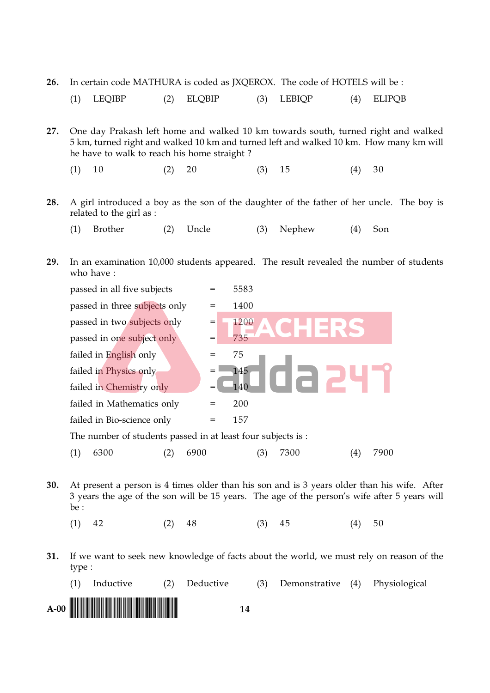- In certain code MATHURA is coded as JXQEROX. The code of HOTELS will be : 26.
	- **LEOIBP ELOBIP**  $(3)$ **LEBIOP**  $(4)$ **ELIPOB**  $(1)$  $(2)$
- One day Prakash left home and walked 10 km towards south, turned right and walked 27. 5 km, turned right and walked 10 km and turned left and walked 10 km. How many km will he have to walk to reach his home straight?
	- $(1)$  10  $(2)$ 20  $(3)$ 15  $(4)$ 30
- A girl introduced a boy as the son of the daughter of the father of her uncle. The boy is 28. related to the girl as :
	- (1) Brother  $(2)$ Uncle Nephew  $(4)$  Son  $(3)$
- 29. In an examination 10,000 students appeared. The result revealed the number of students who have:

| passed in all five subjects                                  |     | 5583               |      |  |  |  |  |  |
|--------------------------------------------------------------|-----|--------------------|------|--|--|--|--|--|
| passed in three subjects only                                | $=$ | 1400               |      |  |  |  |  |  |
| passed in two subjects only                                  | $=$ | 1200               |      |  |  |  |  |  |
| passed in one subject only                                   | $=$ | 735                |      |  |  |  |  |  |
| failed in English only                                       |     | 75                 |      |  |  |  |  |  |
| failed in Physics only                                       |     | 145                |      |  |  |  |  |  |
| failed in Chemistry only                                     |     | 140                |      |  |  |  |  |  |
| failed in Mathematics only                                   |     | 200                |      |  |  |  |  |  |
| failed in Bio-science only                                   |     | 157                |      |  |  |  |  |  |
| The number of students passed in at least four subjects is : |     |                    |      |  |  |  |  |  |
| 6300<br>6900<br>(1)<br>$\left(2\right)$                      |     | 7300<br>(3)<br>(4) | 7900 |  |  |  |  |  |

- At present a person is 4 times older than his son and is 3 years older than his wife. After  $30.$ 3 years the age of the son will be 15 years. The age of the person's wife after 5 years will be :
	- $(1)$ 42  $(2)$ 48  $(3)$  45  $(4)$ 50
- If we want to seek new knowledge of facts about the world, we must rely on reason of the 31. type :
- (1) Inductive  $(2)$ Deductive  $(3)$ Demonstrative (4) Physiological 14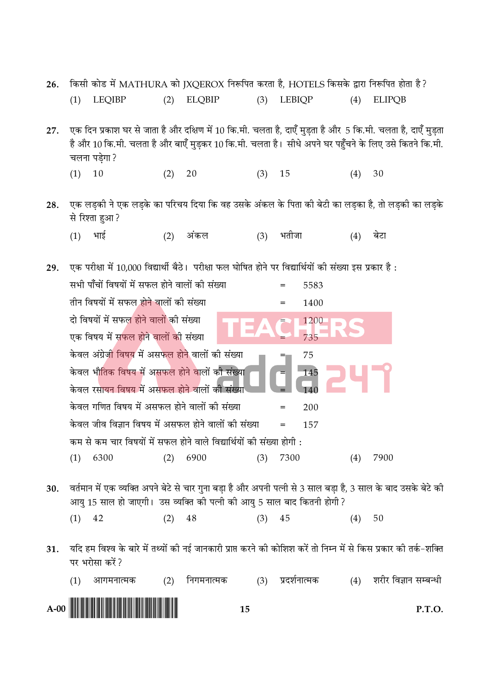- किसी कोड में MATHURA को JXQEROX निरूपित करता है, HOTELS किसके द्वारा निरूपित होता है? 26.
	- $(3)$  LEBIQP  $(4)$  ELIPQB  $(1)$  LEQIBP  $(2)$  ELQBIP

एक दिन प्रकाश घर से जाता है और दक्षिण में 10 कि.मी. चलता है, दाएँ मुडता है और 5 कि.मी. चलता है, दाएँ मुडता 27. है और 10 कि.मी. चलता है और बाएँँ मुडकर 10 कि.मी. चलता है। सीधे अपने घर पहुँचने के लिए उसे कितने कि.मी. चलना पड़ेगा ?

- $(1) 10$ 30  $(2)$ 20  $(3)$ 15  $(4)$
- एक लडकी ने एक लडके का परिचय दिया कि वह उसके अंकल के पिता की बेटी का लडका है, तो लडकी का लडके 28. से रिश्ता हुआ?
	- $(1)$  भाई भतीजा अंकल  $(3)$ बेटा  $(2)$  $(4)$

एक परीक्षा में 10,000 विद्यार्थी बैठे। परीक्षा फल घोषित होने पर विद्यार्थियों की संख्या इस प्रकार है : 29. सभी पाँचों विषयों में सफल होने वालों की संख्या 5583 तीन विषयों में सफल होने वालों की संख्या 1400  $=$ दो विषयों में सफल होने वालों की संख्या 1200 735 एक विषय में सफल होने <mark>वालों की</mark> संख्या केवल अंग्रेजी विषय में असफल होने वालों की संख्या 75 केवल भौतिक विषय में असफल होने वालों क<del>ी संख्या</del> केवल रसायन विषय में असफल होने वालों की संख्या केवल गणित विषय में असफल होने वालों की संख्या 200  $=$ केवल जीव विज्ञान विषय में असफल होने वालों की संख्या  $=$ 157 कम से कम चार विषयों में सफल होने वाले विद्यार्थियों की संख्या होगी :  $(1)$  6300  $(2)$ 6900  $(3)$ 7300 7900  $(4)$ 

- वर्तमान में एक व्यक्ति अपने बेटे से चार गुना बडा है और अपनी पत्नी से 3 साल बडा है, 3 साल के बाद उसके बेटे की 30. आयु 15 साल हो जाएगी। उस व्यक्ति की पत्नी की आयु 5 साल बाद कितनी होगी ?
	- $(1)$  42  $(2)$ 48  $(3)$ 45  $(4)$ 50

यदि हम विश्व के बारे में तथ्यों की नई जानकारी प्राप्त करने की कोशिश करें तो निम्न में से किस प्रकार की तर्क–शक्ति 31. पर भरोसा करें ?

(4) शरीर विज्ञान सम्बन्धी आगमनात्मक निगमनात्मक  $(3)$ प्रदर्शनात्मक  $(1)$  $(2)$ 



15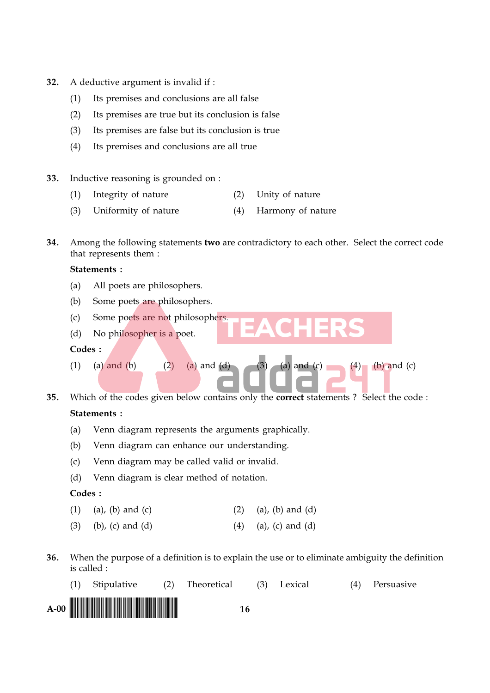- $32.$ A deductive argument is invalid if:
	- Its premises and conclusions are all false  $(1)$
	- $(2)$ Its premises are true but its conclusion is false
	- $(3)$ Its premises are false but its conclusion is true
	- $(4)$ Its premises and conclusions are all true
- Inductive reasoning is grounded on : 33.
	- $(1)$ Integrity of nature (2) Unity of nature
	- $(3)$ Uniformity of nature  $(4)$ Harmony of nature

Among the following statements two are contradictory to each other. Select the correct code 34. that represents them :

### Statements:

- All poets are philosophers.  $(a)$
- $(b)$ Some poets are philosophers.
- Some poets are not philosophers  $(c)$
- $(d)$ No philosopher is a poet.

### Codes:

- (a) and  $(b)$  $(2)$  $(b)$  and  $(c)$  $(1)$  $(a)$  and  $(d)$ (a) and (c)  $(4)$
- Which of the codes given below contains only the **correct** statements? Select the code : 35. **Statements:** 
	- Venn diagram represents the arguments graphically.  $(a)$
	- Venn diagram can enhance our understanding.  $(b)$
	- Venn diagram may be called valid or invalid.  $(c)$
	- $(d)$ Venn diagram is clear method of notation.

### Codes:

- $(a)$ ,  $(b)$  and  $(c)$  $(1)$  $(2)$  $(a)$ ,  $(b)$  and  $(d)$
- $(b)$ ,  $(c)$  and  $(d)$  $(4)$  (a), (c) and (d)  $(3)$
- When the purpose of a definition is to explain the use or to eliminate ambiguity the definition  $36<sub>1</sub>$ is called :

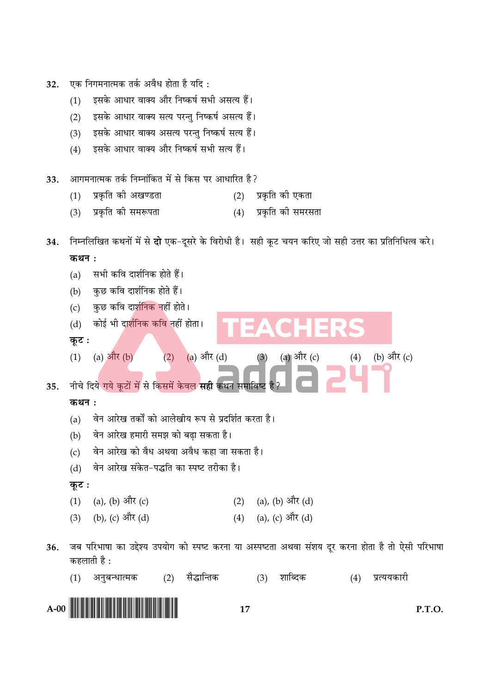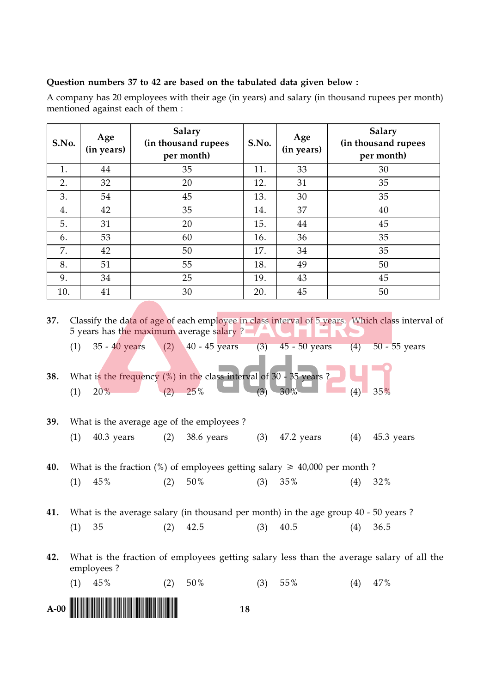# Question numbers 37 to 42 are based on the tabulated data given below :

A company has 20 employees with their age (in years) and salary (in thousand rupees per month) mentioned against each of them:

| S.No. | Age<br>(in years) | <b>Salary</b><br>(in thousand rupees<br>per month) | S.No. | Age<br>(in years) | <b>Salary</b><br>(in thousand rupees<br>per month) |
|-------|-------------------|----------------------------------------------------|-------|-------------------|----------------------------------------------------|
| 1.    | 44                | 35                                                 | 11.   | 33                | 30                                                 |
| 2.    | 32                | 20                                                 | 12.   | 31                | 35                                                 |
| 3.    | 54                | 45                                                 | 13.   | 30                | 35                                                 |
| 4.    | 42                | 35                                                 | 14.   | 37                | 40                                                 |
| 5.    | 31                | 20                                                 | 15.   | 44                | 45                                                 |
| 6.    | 53                | 60                                                 | 16.   | 36                | 35                                                 |
| 7.    | 42                | 50                                                 | 17.   | 34                | 35                                                 |
| 8.    | 51                | 55                                                 | 18.   | 49                | 50                                                 |
| 9.    | 34                | 25                                                 | 19.   | 43                | 45                                                 |
| 10.   | 41                | 30                                                 | 20.   | 45                | 50                                                 |

- 37. Classify the data of age of each employee in class interval of 5 years. Which class interval of 5 years has the maximum average s<mark>ala</mark>ry ?
	- (1)  $35 40$  years (2)  $40 45$  years (3)  $45 50$  years (4)  $50 55$  years
- **38.** What is the frequency (%) in the class interval of 30 35 years ? (1)  $20\%$  (2)  $25\%$  (3)  $30\%$  (4)  $35\%$
- 39. What is the average age of the employees? (1) 40.3 years (2) 38.6 years (3) 47.2 years (4) 45.3 years
- **40.** What is the fraction (%) of employees getting salary  $\geq 40,000$  per month?  $(1)$  45%  $(2)$  50%  $(3)$  35%  $(4)$  32%

41. What is the average salary (in thousand per month) in the age group 40 - 50 years ? (1)  $35$  (2)  $42.5$  (3)  $40.5$  (4)  $36.5$ 

42. What is the fraction of employees getting salary less than the average salary of all the employees?

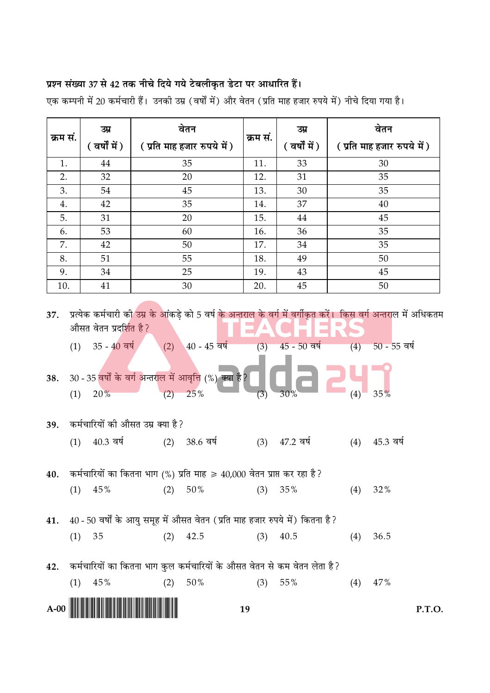# प्रश्न संख्या 37 से 42 तक नीचे दिये गये टेबलीकृत डेटा पर आधारित हैं।

एक कम्पनी में 20 कर्मचारी हैं। उनकी उम्र (वर्षों में) और वेतन (प्रति माह हजार रुपये में) नीचे दिया गया है।

|          | उम्र           | वेतन                       |          | उम्र           | वेतन                       |
|----------|----------------|----------------------------|----------|----------------|----------------------------|
| क्रम सं. | ( वर्षों में ) | (प्रति माह हजार रुपये में) | क्रम सं. | ( वर्षों में ) | (प्रति माह हजार रुपये में) |
| 1.       | 44             | 35                         | 11.      | 33             | 30                         |
| 2.       | 32             | 20                         | 12.      | 31             | 35                         |
| 3.       | 54             | 45                         | 13.      | 30             | 35                         |
| 4.       | 42             | 35                         | 14.      | 37             | 40                         |
| 5.       | 31             | 20                         | 15.      | 44             | 45                         |
| 6.       | 53             | 60                         | 16.      | 36             | 35                         |
| 7.       | 42             | 50                         | 17.      | 34             | 35                         |
| 8.       | 51             | 55                         | 18.      | 49             | 50                         |
| 9.       | 34             | 25                         | 19.      | 43             | 45                         |
| 10.      | 41             | 30                         | 20.      | 45             | 50                         |

| 37.    |     | औसत वेतन प्रदर्शित है ?                                        |     |                                                                               |     |                |     | प्रत्येक कर्मचारी क <mark>ी उम्र के आं</mark> कड़े को 5 वर्ष के अन्तराल के वर्ग में वर्गीकृत करें।  किस वर्ग अन्तराल में अधिकतम |
|--------|-----|----------------------------------------------------------------|-----|-------------------------------------------------------------------------------|-----|----------------|-----|---------------------------------------------------------------------------------------------------------------------------------|
|        | (1) | 35 - 40 वर्ष                                                   | (2) | $40 - 45$ वर्ष                                                                | (3) | $45 - 50$ वर्ष |     | $(4)$ 50 - 55 वर्ष                                                                                                              |
| 38.    | (1) | 30 - 35 वर्षों के वर्ग अन्तराल में आवृत्ति (%) क्या है?<br>20% | (2) | 25%                                                                           | (3) | 30%            | (4) | 35%                                                                                                                             |
| 39.    |     | कर्मचारियों की औसत उम्र क्या है?                               |     |                                                                               |     |                |     |                                                                                                                                 |
|        | (1) | $40.3$ वर्ष                                                    |     | $(2)$ 38.6 वर्ष                                                               |     | (3) 47.2 वर्ष  | (4) | $45.3$ वर्ष                                                                                                                     |
| 40.    |     |                                                                |     | कर्मचारियों का कितना भाग (%) प्रति माह ≥ 40,000 वेतन प्राप्त कर रहा है?       |     |                |     |                                                                                                                                 |
|        | (1) | 45%                                                            | (2) | 50%                                                                           | (3) | 35%            | (4) | 32%                                                                                                                             |
| 41.    |     |                                                                |     | 40 - 50 वर्षों के आयु समूह में औसत वेतन (प्रति माह हजार रुपये में) कितना है ? |     |                |     |                                                                                                                                 |
|        | (1) | 35                                                             | (2) | 42.5                                                                          | (3) | 40.5           | (4) | 36.5                                                                                                                            |
| 42.    |     |                                                                |     | कर्मचारियों का कितना भाग कुल कर्मचारियों के औसत वेतन से कम वेतन लेता है ?     |     |                |     |                                                                                                                                 |
|        | (1) | 45%                                                            | (2) | 50%                                                                           | (3) | 55%            | (4) | 47%                                                                                                                             |
| $A-00$ |     |                                                                |     | 19                                                                            |     |                |     | P.T.O.                                                                                                                          |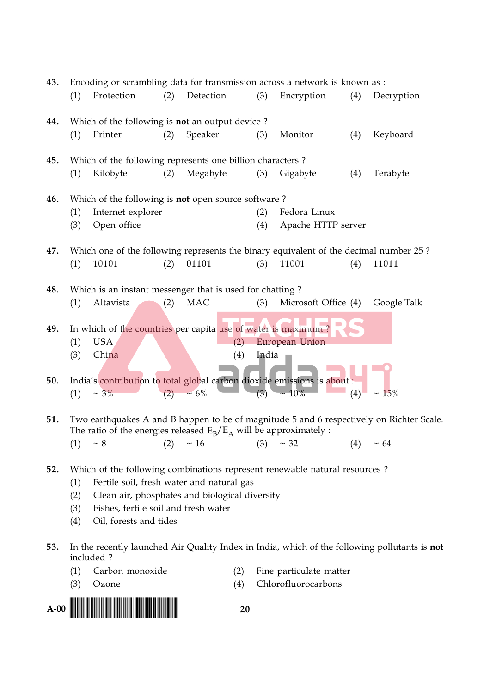| 43. |     | Encoding or scrambling data for transmission across a network is known as :                                |     |                        |     |       |                         |     |             |             |
|-----|-----|------------------------------------------------------------------------------------------------------------|-----|------------------------|-----|-------|-------------------------|-----|-------------|-------------|
|     | (1) | Protection                                                                                                 | (2) | Detection              |     | (3)   | Encryption              | (4) |             | Decryption  |
| 44. |     | Which of the following is not an output device?                                                            |     |                        |     |       |                         |     |             |             |
|     | (1) | Printer                                                                                                    | (2) | Speaker                |     | (3)   | Monitor                 | (4) |             | Keyboard    |
| 45. |     | Which of the following represents one billion characters?                                                  |     |                        |     |       |                         |     |             |             |
|     | (1) | Kilobyte                                                                                                   | (2) | Megabyte               |     | (3)   | Gigabyte                | (4) | Terabyte    |             |
| 46. |     | Which of the following is not open source software?                                                        |     |                        |     |       |                         |     |             |             |
|     | (1) | Internet explorer                                                                                          |     |                        |     | (2)   | Fedora Linux            |     |             |             |
|     | (3) | Open office                                                                                                |     |                        |     | (4)   | Apache HTTP server      |     |             |             |
| 47. |     | Which one of the following represents the binary equivalent of the decimal number 25?                      |     |                        |     |       |                         |     |             |             |
|     | (1) | 10101                                                                                                      | (2) | 01101                  |     | (3)   | 11001                   | (4) | 11011       |             |
| 48. |     | Which is an instant messenger that is used for chatting?                                                   |     |                        |     |       |                         |     |             |             |
|     | (1) | Altavista                                                                                                  | (2) | MAC                    |     | (3)   | Microsoft Office (4)    |     |             | Google Talk |
| 49. |     | In which of the countries per capita use of water is maximum?                                              |     |                        |     |       |                         |     |             |             |
|     |     | <b>USA</b>                                                                                                 |     |                        | (2) |       | European Union          |     |             |             |
|     | (1) |                                                                                                            |     |                        |     |       |                         |     |             |             |
|     | (3) | China                                                                                                      |     |                        | (4) | India |                         |     |             |             |
| 50. |     | India's contribution to total global carbon dioxide emissions is about :                                   |     |                        |     |       |                         |     |             |             |
|     | (1) | $\sim 3\%$                                                                                                 | (2) | $~10^{6}$              |     | (3)   | $\sim 10\%$             | (4) | $\sim 15\%$ |             |
| 51. |     | Two earthquakes A and B happen to be of magnitude 5 and 6 respectively on Richter Scale.                   |     |                        |     |       |                         |     |             |             |
|     |     | The ratio of the energies released $E_B/E_A$ will be approximately :                                       |     |                        |     |       |                         |     |             |             |
|     |     | $(1) \sim 8$                                                                                               |     | $(2) \sim 16$ (3) ~ 32 |     |       | $(4) \sim 64$           |     |             |             |
| 52. |     | Which of the following combinations represent renewable natural resources?                                 |     |                        |     |       |                         |     |             |             |
|     | (1) | Fertile soil, fresh water and natural gas                                                                  |     |                        |     |       |                         |     |             |             |
|     | (2) | Clean air, phosphates and biological diversity                                                             |     |                        |     |       |                         |     |             |             |
|     | (3) | Fishes, fertile soil and fresh water                                                                       |     |                        |     |       |                         |     |             |             |
|     | (4) | Oil, forests and tides                                                                                     |     |                        |     |       |                         |     |             |             |
| 53. |     | In the recently launched Air Quality Index in India, which of the following pollutants is not<br>included? |     |                        |     |       |                         |     |             |             |
|     | (1) | Carbon monoxide                                                                                            |     |                        | (2) |       | Fine particulate matter |     |             |             |
|     | (3) | Ozone                                                                                                      |     |                        | (4) |       | Chlorofluorocarbons     |     |             |             |



 $20\,$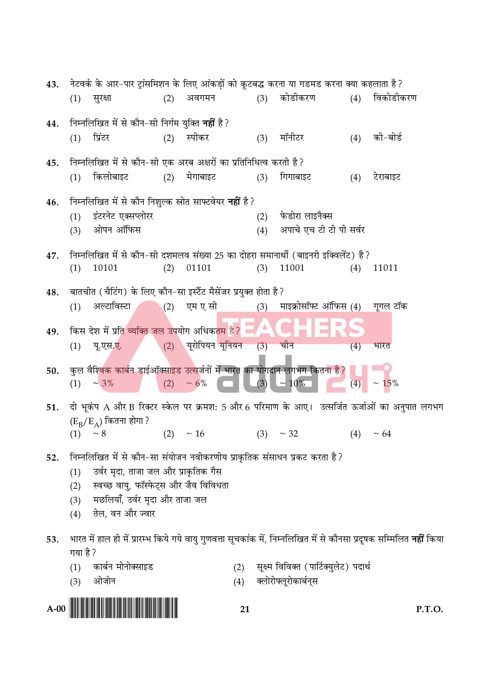| 43.    |          | नेटवर्क के आर-पार ट्रांसमिशन के लिए आंकड़ों को कूटबद्ध करना या गडमड करना क्या कहलाता है ? |     |                                  |     |     |                                        |     |                                                                                                                            |
|--------|----------|-------------------------------------------------------------------------------------------|-----|----------------------------------|-----|-----|----------------------------------------|-----|----------------------------------------------------------------------------------------------------------------------------|
|        | (1)      | सुरक्षा                                                                                   | (2) | अवगमन                            |     | (3) | कोडीकरण                                | (4) | विकोडीकरण                                                                                                                  |
| 44.    |          | निम्नलिखित में से कौन-सी निर्गम युक्ति <b>नहीं</b> है ?                                   |     |                                  |     |     |                                        |     |                                                                                                                            |
|        | (1)      | प्रिंटर                                                                                   | (2) | स्पीकर                           |     | (3) | मॉनीटर                                 | (4) | की-बोर्ड                                                                                                                   |
|        |          |                                                                                           |     |                                  |     |     |                                        |     |                                                                                                                            |
| 45.    |          | निम्नलिखित में से कौन-सी एक अरब अक्षरों का प्रतिनिधित्व करती है?                          |     |                                  |     |     |                                        |     |                                                                                                                            |
|        | (1)      | किलोबाइट                                                                                  | (2) | मेगाबाइट                         |     | (3) | गिगाबाइट                               | (4) | टेराबाइट                                                                                                                   |
| 46.    |          | निम्नलिखित में से कौन निशुल्क स्रोत साफ्टवेयर <b>नहीं</b> है?                             |     |                                  |     |     |                                        |     |                                                                                                                            |
|        | (1)      | इंटरनेट एक्सप्लोरर                                                                        |     |                                  |     | (2) | फेडोरा लाइनैक्स                        |     |                                                                                                                            |
|        | (3)      | ओपन ऑफिस                                                                                  |     |                                  |     | (4) | अपाचे एच टी टी पी सर्वर                |     |                                                                                                                            |
| 47.    |          | निम्नलिखित में से कौन-सी दशमलव संख्या 25 का दोहरा समानार्थी (बाइनरी इक्विलेंट) है?        |     |                                  |     |     |                                        |     |                                                                                                                            |
|        | (1)      | 10101                                                                                     | (2) | 01101                            |     | (3) | 11001                                  | (4) | 11011                                                                                                                      |
|        |          |                                                                                           |     |                                  |     |     |                                        |     |                                                                                                                            |
| 48.    | (1)      | बातचीत (चैटिंग) के लिए कौन-सा इस्टैंट मैसेंजर प्रयुक्त होता है ?<br>अल्टाविस्टा           | (2) | एम ए सी                          |     |     | (3) माइक्रोसॉफ्ट ऑफिस (4)              |     | गूगल टॉक                                                                                                                   |
|        |          |                                                                                           |     |                                  |     |     |                                        |     |                                                                                                                            |
| 49.    |          | किस देश में प्रति व्यक्ति जल उपयोग अधिकतम है? ब्रिटी स्टर्                                |     |                                  |     |     | 33                                     |     |                                                                                                                            |
|        | (1)      | यू.एस.ए.                                                                                  | (2) | <mark>्</mark> र यूरोपियन यूनियन |     | (3) | चीन                                    | (4) | भारत                                                                                                                       |
| 50.    |          | कुल वैश्विक कार्बन डाईऑक्साइड उत्सर्जनों में भारत का योगदान लगभग कितना है? <u>प</u>       |     |                                  |     |     |                                        |     |                                                                                                                            |
|        | (1)      | $\sim 3\%$                                                                                | (2) | $~10^{6}$                        |     | (3) | $\sim 10\%$                            | (4) | $\sim 15\%$                                                                                                                |
| 51.    |          |                                                                                           |     |                                  |     |     |                                        |     | दो भूकंप A और B रिक्टर स्केल पर क्रमश: 5 और 6 परिमाण के आए। उत्सर्जित ऊर्जाओं का अनुपात लगभग                               |
|        |          | $(E_B/E_A)$ कितना होगा ?                                                                  |     |                                  |     |     |                                        |     |                                                                                                                            |
|        | (1)      | $\sim 8$                                                                                  | (2) | $\sim 16$                        |     | (3) | $\sim$ 32                              | (4) | $~\sim 64$                                                                                                                 |
| 52.    |          | निम्नलिखित में से कौन-सा संयोजन नवीकरणीय प्राकृतिक संसाधन प्रकट करता है?                  |     |                                  |     |     |                                        |     |                                                                                                                            |
|        | (1)      | उर्वर मृदा, ताजा जल और प्राकृतिक गैस                                                      |     |                                  |     |     |                                        |     |                                                                                                                            |
|        | (2)      | स्वच्छ वायु, फॉस्फेट्स और जैव विविधता                                                     |     |                                  |     |     |                                        |     |                                                                                                                            |
|        | (3)      | मछलियाँ, उर्वर मृदा और ताजा जल                                                            |     |                                  |     |     |                                        |     |                                                                                                                            |
|        | (4)      | तेल, वन और ज्वार                                                                          |     |                                  |     |     |                                        |     |                                                                                                                            |
| 53.    |          |                                                                                           |     |                                  |     |     |                                        |     | भारत में हाल ही में प्रारम्भ किये गये वायु गुणवत्ता सूचकांक में, निम्नलिखित में से कौनसा प्रदूषक सम्मिलित <b>नहीं</b> किया |
|        | गया है ? |                                                                                           |     |                                  |     |     |                                        |     |                                                                                                                            |
|        | (1)      | कार्बन मोनोक्साइड                                                                         |     |                                  | (2) |     | सूक्ष्म विविक्त (पार्टिक्युलेट) पदार्थ |     |                                                                                                                            |
|        | (3)      | ओजोन                                                                                      |     |                                  | (4) |     | क्लोरोफ्लूरोकार्बन्स                   |     |                                                                                                                            |
|        |          |                                                                                           |     |                                  |     |     |                                        |     |                                                                                                                            |
| $A-00$ |          |                                                                                           |     |                                  | 21  |     |                                        |     | P.T.O.                                                                                                                     |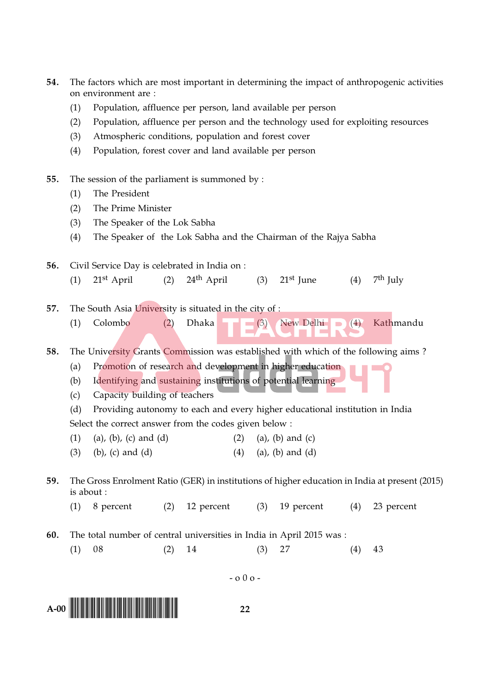| 54. | The factors which are most important in determining the impact of anthropogenic activities<br>on environment are : |                                                                                    |     |                        |         |     |                        |                       |                                                                                                |
|-----|--------------------------------------------------------------------------------------------------------------------|------------------------------------------------------------------------------------|-----|------------------------|---------|-----|------------------------|-----------------------|------------------------------------------------------------------------------------------------|
|     | (1)                                                                                                                | Population, affluence per person, land available per person                        |     |                        |         |     |                        |                       |                                                                                                |
|     | (2)                                                                                                                | Population, affluence per person and the technology used for exploiting resources  |     |                        |         |     |                        |                       |                                                                                                |
|     | (3)                                                                                                                | Atmospheric conditions, population and forest cover                                |     |                        |         |     |                        |                       |                                                                                                |
|     | (4)                                                                                                                | Population, forest cover and land available per person                             |     |                        |         |     |                        |                       |                                                                                                |
|     |                                                                                                                    |                                                                                    |     |                        |         |     |                        |                       |                                                                                                |
| 55. |                                                                                                                    | The session of the parliament is summoned by :                                     |     |                        |         |     |                        |                       |                                                                                                |
|     | (1)                                                                                                                | The President                                                                      |     |                        |         |     |                        |                       |                                                                                                |
|     | (2)                                                                                                                | The Prime Minister                                                                 |     |                        |         |     |                        |                       |                                                                                                |
|     | (3)                                                                                                                | The Speaker of the Lok Sabha                                                       |     |                        |         |     |                        |                       |                                                                                                |
|     | (4)                                                                                                                | The Speaker of the Lok Sabha and the Chairman of the Rajya Sabha                   |     |                        |         |     |                        |                       |                                                                                                |
|     |                                                                                                                    |                                                                                    |     |                        |         |     |                        |                       |                                                                                                |
| 56. |                                                                                                                    | Civil Service Day is celebrated in India on :                                      |     |                        |         |     |                        |                       |                                                                                                |
|     | (1)                                                                                                                | $21st$ April                                                                       | (2) | 24 <sup>th</sup> April |         | (3) | $21st$ June            | (4)                   | 7 <sup>th</sup> July                                                                           |
|     |                                                                                                                    |                                                                                    |     |                        |         |     |                        |                       |                                                                                                |
| 57. |                                                                                                                    | The South Asia University is situated in the city of :                             |     |                        |         |     |                        |                       |                                                                                                |
|     | (1)                                                                                                                | Colombo                                                                            | (2) | Dhaka                  |         | (3) | New Delhi              | (4)<br>$\blacksquare$ | Kathmandu                                                                                      |
|     |                                                                                                                    |                                                                                    |     |                        |         |     |                        |                       |                                                                                                |
| 58. |                                                                                                                    | The University Grants Commission was established with which of the following aims? |     |                        |         |     |                        |                       |                                                                                                |
|     | (a)                                                                                                                | Promotion of research and development in higher education                          |     |                        |         |     |                        |                       |                                                                                                |
|     | (b)                                                                                                                | Identifying and sustaining institutions of potential learning                      |     |                        |         |     |                        |                       |                                                                                                |
|     | (c)                                                                                                                | Capacity building of teachers                                                      |     |                        |         |     |                        |                       |                                                                                                |
|     | (d)                                                                                                                | Providing autonomy to each and every higher educational institution in India       |     |                        |         |     |                        |                       |                                                                                                |
|     |                                                                                                                    | Select the correct answer from the codes given below :                             |     |                        |         |     |                        |                       |                                                                                                |
|     |                                                                                                                    | (1) (a), (b), (c) and (d) (2) (a), (b) and (c)                                     |     |                        |         |     |                        |                       |                                                                                                |
|     | (3)                                                                                                                | $(b)$ , $(c)$ and $(d)$                                                            |     |                        |         |     | $(4)$ (a), (b) and (d) |                       |                                                                                                |
| 59. |                                                                                                                    |                                                                                    |     |                        |         |     |                        |                       | The Gross Enrolment Ratio (GER) in institutions of higher education in India at present (2015) |
|     |                                                                                                                    | is about :                                                                         |     |                        |         |     |                        |                       |                                                                                                |
|     | (1)                                                                                                                | 8 percent                                                                          | (2) | 12 percent             |         | (3) | 19 percent             | (4)                   | 23 percent                                                                                     |
| 60. |                                                                                                                    | The total number of central universities in India in April 2015 was :              |     |                        |         |     |                        |                       |                                                                                                |
|     | (1)                                                                                                                | 08                                                                                 | (2) | 14                     |         | (3) | 27                     | (4)                   | 43                                                                                             |
|     |                                                                                                                    |                                                                                    |     |                        |         |     |                        |                       |                                                                                                |
|     |                                                                                                                    |                                                                                    |     |                        | $-000-$ |     |                        |                       |                                                                                                |
|     |                                                                                                                    |                                                                                    |     |                        |         |     |                        |                       |                                                                                                |

 $A-OO$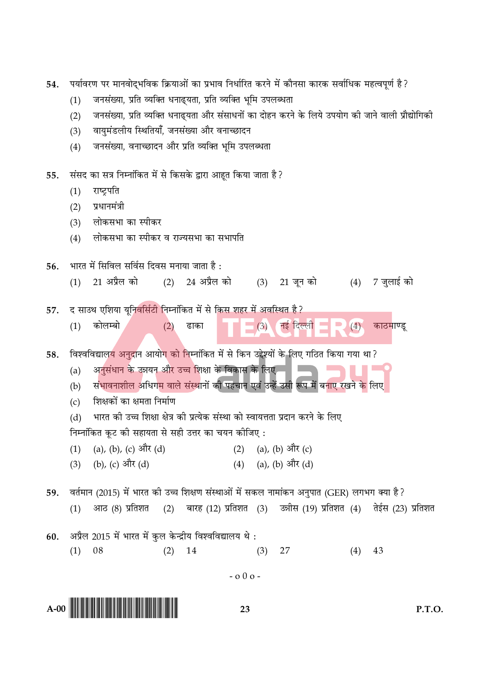| 54.    | पर्यावरण पर मानवोद्भविक क्रियाओं का प्रभाव निर्धारित करने में कौनसा कारक सर्वाधिक महत्वपूर्ण है ?                     |  |  |  |  |  |  |  |  |
|--------|-----------------------------------------------------------------------------------------------------------------------|--|--|--|--|--|--|--|--|
|        | जनसंख्या, प्रति व्यक्ति धनाढ्यता, प्रति व्यक्ति भूमि उपलब्धता<br>(1)                                                  |  |  |  |  |  |  |  |  |
|        | जनसंख्या, प्रति व्यक्ति धनाढ्यता और संसाधनों का दोहन करने के लिये उपयोग की जाने वाली प्रौद्योगिकी<br>(2)              |  |  |  |  |  |  |  |  |
|        | वायुमंडलीय स्थितियाँ, जनसंख्या और वनाच्छादन<br>(3)                                                                    |  |  |  |  |  |  |  |  |
|        | जनसंख्या, वनाच्छादन और प्रति व्यक्ति भूमि उपलब्धता<br>(4)                                                             |  |  |  |  |  |  |  |  |
|        |                                                                                                                       |  |  |  |  |  |  |  |  |
| 55.    | संसद का सत्र निम्नांकित में से किसके द्वारा आहूत किया जाता है ?                                                       |  |  |  |  |  |  |  |  |
|        | राष्ट्रपति<br>(1)                                                                                                     |  |  |  |  |  |  |  |  |
|        | प्रधानमंत्री<br>(2)                                                                                                   |  |  |  |  |  |  |  |  |
|        | लोकसभा का स्पीकर<br>(3)                                                                                               |  |  |  |  |  |  |  |  |
|        | लोकसभा का स्पीकर व राज्यसभा का सभापति<br>(4)                                                                          |  |  |  |  |  |  |  |  |
| 56.    | भारत में सिविल सर्विस दिवस मनाया जाता है :                                                                            |  |  |  |  |  |  |  |  |
|        | 21 अप्रैल को<br>(2) 24 अप्रैल को<br>21 जून को<br>7 जुलाई को<br>(3)<br>(4)<br>(1)                                      |  |  |  |  |  |  |  |  |
|        |                                                                                                                       |  |  |  |  |  |  |  |  |
| 57.    | द साउथ एशिया यूनिवर्सिटी निम्नांकित में से किस शहर में अवस्थित है?                                                    |  |  |  |  |  |  |  |  |
|        | $\sqrt{\pi}$ ई दिल्ली $\boxed{\phantom{1}}$<br>कोलम्बो<br>(4)<br>(3)<br>(1)<br>काठमाण्डू<br>ढाका<br>(2)               |  |  |  |  |  |  |  |  |
|        |                                                                                                                       |  |  |  |  |  |  |  |  |
| 58.    | विश्वविद्यालय अनुदान आयो <mark>ग को नि</mark> म्नांकित में से किन उद्देश्यों के लिए गठित किया गया था ?                |  |  |  |  |  |  |  |  |
|        | अनुसंधान के उन्नयन और उच्च शिक्षा के विकास के लिए<br>(a)                                                              |  |  |  |  |  |  |  |  |
|        | संभावनाशील अधिगम वाले संस्थानों की पहचान एवं उन्हें उसी रूप में बनाए रखने के लिए<br>(b)<br>शिक्षकों का क्षमता निर्माण |  |  |  |  |  |  |  |  |
|        | (c)<br>भारत को उच्च शिक्षा क्षेत्र को प्रत्येक संस्था को स्वायत्तता प्रदान करने के लिए<br>(d)                         |  |  |  |  |  |  |  |  |
|        | निम्नांकित कूट की सहायता से सही उत्तर का चयन कीजिए :                                                                  |  |  |  |  |  |  |  |  |
|        | (1) (a), (b), (c) और (d) (2) (a), (b) और (c)                                                                          |  |  |  |  |  |  |  |  |
|        | (b), (c) और (d)<br>$(4)$ (a), (b) और (d)<br>(3)                                                                       |  |  |  |  |  |  |  |  |
|        |                                                                                                                       |  |  |  |  |  |  |  |  |
| 59.    | वर्तमान (2015) में भारत की उच्च शिक्षण संस्थाओं में सकल नामांकन अनुपात (GER) लगभग क्या है?                            |  |  |  |  |  |  |  |  |
|        | आठ (8) प्रतिशत (2) बारह (12) प्रतिशत (3) उन्नीस (19) प्रतिशत (4) तेईस (23) प्रतिशत<br>(1)                             |  |  |  |  |  |  |  |  |
|        |                                                                                                                       |  |  |  |  |  |  |  |  |
| 60.    | अप्रैल 2015 में भारत में कुल केन्द्रीय विश्वविद्यालय थे :                                                             |  |  |  |  |  |  |  |  |
|        | 08<br>(2)<br>14<br>(1)<br>(3)<br>(4)<br>43<br>27                                                                      |  |  |  |  |  |  |  |  |
|        | $-000 -$                                                                                                              |  |  |  |  |  |  |  |  |
|        |                                                                                                                       |  |  |  |  |  |  |  |  |
| $A-00$ | 23<br>P.T.O.                                                                                                          |  |  |  |  |  |  |  |  |